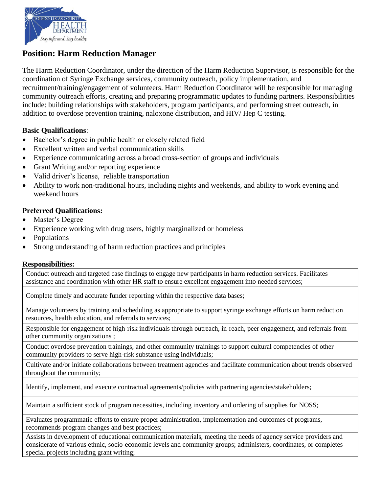

# **Position: Harm Reduction Manager**

The Harm Reduction Coordinator, under the direction of the Harm Reduction Supervisor, is responsible for the coordination of Syringe Exchange services, community outreach, policy implementation, and recruitment/training/engagement of volunteers. Harm Reduction Coordinator will be responsible for managing community outreach efforts, creating and preparing programmatic updates to funding partners. Responsibilities include: building relationships with stakeholders, program participants, and performing street outreach, in addition to overdose prevention training, naloxone distribution, and HIV/ Hep C testing.

#### **Basic Qualifications**:

- Bachelor's degree in public health or closely related field
- Excellent written and verbal communication skills
- Experience communicating across a broad cross-section of groups and individuals
- Grant Writing and/or reporting experience
- Valid driver's license, reliable transportation
- Ability to work non-traditional hours, including nights and weekends, and ability to work evening and weekend hours

## **Preferred Qualifications:**

- Master's Degree
- Experience working with drug users, highly marginalized or homeless
- Populations
- Strong understanding of harm reduction practices and principles

## **Responsibilities:**

Conduct outreach and targeted case findings to engage new participants in harm reduction services. Facilitates assistance and coordination with other HR staff to ensure excellent engagement into needed services;

Complete timely and accurate funder reporting within the respective data bases;

Manage volunteers by training and scheduling as appropriate to support syringe exchange efforts on harm reduction resources, health education, and referrals to services;

Responsible for engagement of high-risk individuals through outreach, in-reach, peer engagement, and referrals from other community organizations ;

Conduct overdose prevention trainings, and other community trainings to support cultural competencies of other community providers to serve high-risk substance using individuals;

Cultivate and/or initiate collaborations between treatment agencies and facilitate communication about trends observed throughout the community;

Identify, implement, and execute contractual agreements/policies with partnering agencies/stakeholders;

Maintain a sufficient stock of program necessities, including inventory and ordering of supplies for NOSS;

Evaluates programmatic efforts to ensure proper administration, implementation and outcomes of programs, recommends program changes and best practices;

Assists in development of educational communication materials, meeting the needs of agency service providers and considerate of various ethnic, socio-economic levels and community groups; administers, coordinates, or completes special projects including grant writing;